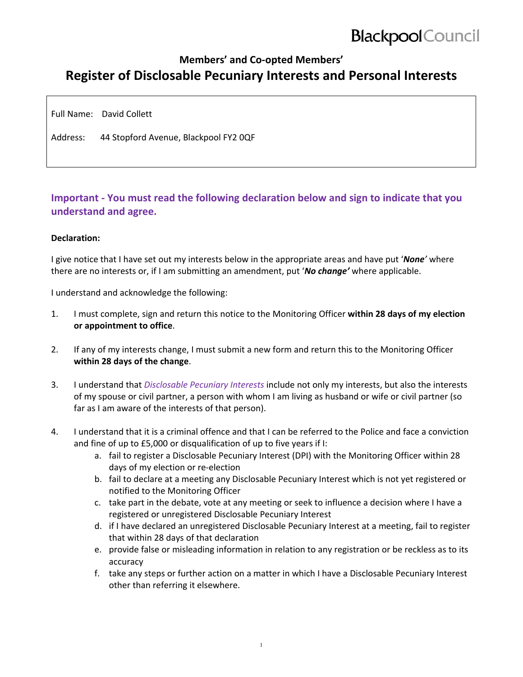# **Blackpool** Council

### **Members' and Co‐opted Members' Register of Disclosable Pecuniary Interests and Personal Interests**

Full Name: David Collett

Address: 44 Stopford Avenue, Blackpool FY2 0QF

### **Important ‐ You must read the following declaration below and sign to indicate that you understand and agree.**

#### **Declaration:**

I give notice that I have set out my interests below in the appropriate areas and have put '*None'* where there are no interests or, if I am submitting an amendment, put '*No change'* where applicable.

I understand and acknowledge the following:

- 1. I must complete, sign and return this notice to the Monitoring Officer **within 28 days of my election or appointment to office**.
- 2. If any of my interests change, I must submit a new form and return this to the Monitoring Officer **within 28 days of the change**.
- 3. I understand that *Disclosable Pecuniary Interests* include not only my interests, but also the interests of my spouse or civil partner, a person with whom I am living as husband or wife or civil partner (so far as I am aware of the interests of that person).
- 4. I understand that it is a criminal offence and that I can be referred to the Police and face a conviction and fine of up to £5,000 or disqualification of up to five years if I:
	- a. fail to register a Disclosable Pecuniary Interest (DPI) with the Monitoring Officer within 28 days of my election or re‐election
	- b. fail to declare at a meeting any Disclosable Pecuniary Interest which is not yet registered or notified to the Monitoring Officer
	- c. take part in the debate, vote at any meeting or seek to influence a decision where I have a registered or unregistered Disclosable Pecuniary Interest
	- d. if I have declared an unregistered Disclosable Pecuniary Interest at a meeting, fail to register that within 28 days of that declaration
	- e. provide false or misleading information in relation to any registration or be reckless as to its accuracy
	- f. take any steps or further action on a matter in which I have a Disclosable Pecuniary Interest other than referring it elsewhere.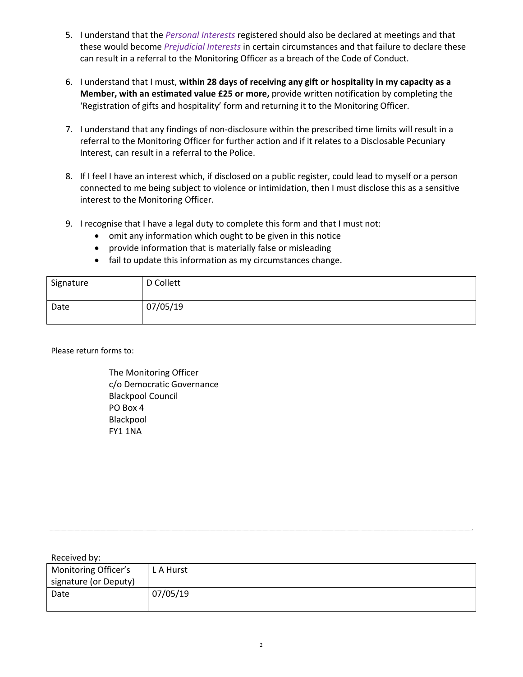- 5. I understand that the *Personal Interests* registered should also be declared at meetings and that these would become *Prejudicial Interests* in certain circumstances and that failure to declare these can result in a referral to the Monitoring Officer as a breach of the Code of Conduct.
- 6. I understand that I must, **within 28 days of receiving any gift or hospitality in my capacity as a Member, with an estimated value £25 or more,** provide written notification by completing the 'Registration of gifts and hospitality' form and returning it to the Monitoring Officer.
- 7. I understand that any findings of non-disclosure within the prescribed time limits will result in a referral to the Monitoring Officer for further action and if it relates to a Disclosable Pecuniary Interest, can result in a referral to the Police.
- 8. If I feel I have an interest which, if disclosed on a public register, could lead to myself or a person connected to me being subject to violence or intimidation, then I must disclose this as a sensitive interest to the Monitoring Officer.
- 9. I recognise that I have a legal duty to complete this form and that I must not:
	- omit any information which ought to be given in this notice
	- provide information that is materially false or misleading
	- fail to update this information as my circumstances change.

| Signature | D Collett |
|-----------|-----------|
| Date      | 07/05/19  |

Please return forms to:

The Monitoring Officer c/o Democratic Governance Blackpool Council PO Box 4 Blackpool FY1 1NA

| Received by:         |          |  |
|----------------------|----------|--|
| Monitoring Officer's | LA Hurst |  |

| <b>Monitoring Officer's</b> | L A Hurst |
|-----------------------------|-----------|
| signature (or Deputy)       |           |
| Date                        | 07/05/19  |
|                             |           |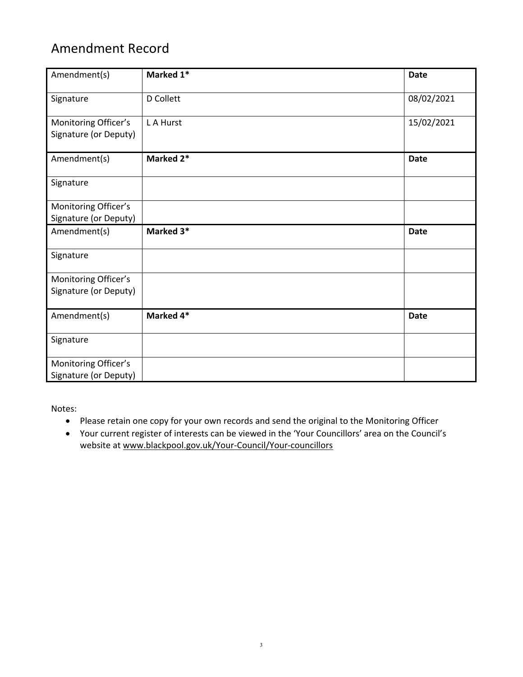## Amendment Record

| Amendment(s)                                  | Marked 1* | <b>Date</b> |
|-----------------------------------------------|-----------|-------------|
| Signature                                     | D Collett | 08/02/2021  |
| Monitoring Officer's<br>Signature (or Deputy) | L A Hurst | 15/02/2021  |
| Amendment(s)                                  | Marked 2* | <b>Date</b> |
| Signature                                     |           |             |
| Monitoring Officer's<br>Signature (or Deputy) |           |             |
| Amendment(s)                                  | Marked 3* | <b>Date</b> |
| Signature                                     |           |             |
| Monitoring Officer's                          |           |             |
| Signature (or Deputy)                         |           |             |
| Amendment(s)                                  | Marked 4* | <b>Date</b> |
| Signature                                     |           |             |
| Monitoring Officer's<br>Signature (or Deputy) |           |             |

Notes:

- Please retain one copy for your own records and send the original to the Monitoring Officer
- Your current register of interests can be viewed in the 'Your Councillors' area on the Council's website at www.blackpool.gov.uk/Your-Council/Your-councillors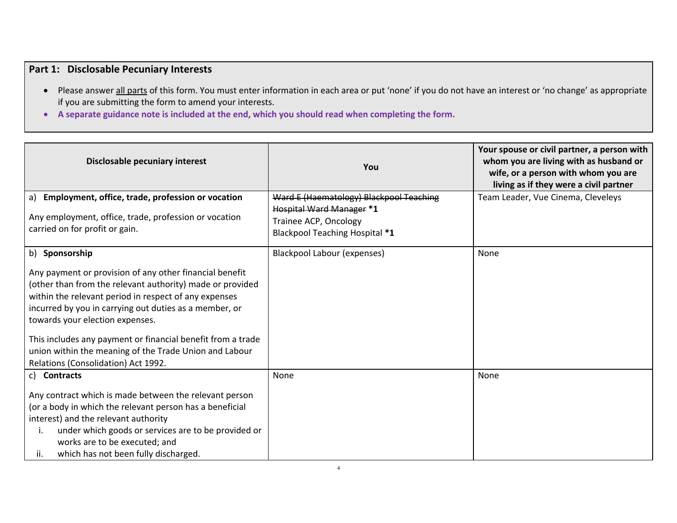### **Part 1: Disclosable Pecuniary Interests**

- Please answer all parts of this form. You must enter information in each area or put 'none' if you do not have an interest or 'no change' as appropriate if you are submitting the form to amend your interests.
- **A separate guidance note is included at the end, which you should read when completing the form.**

| Disclosable pecuniary interest                                                                                                                                                                                                                                                                                                                                                                                                                               | You                                                                                                                                          | Your spouse or civil partner, a person with<br>whom you are living with as husband or<br>wife, or a person with whom you are<br>living as if they were a civil partner |
|--------------------------------------------------------------------------------------------------------------------------------------------------------------------------------------------------------------------------------------------------------------------------------------------------------------------------------------------------------------------------------------------------------------------------------------------------------------|----------------------------------------------------------------------------------------------------------------------------------------------|------------------------------------------------------------------------------------------------------------------------------------------------------------------------|
| a) Employment, office, trade, profession or vocation<br>Any employment, office, trade, profession or vocation<br>carried on for profit or gain.                                                                                                                                                                                                                                                                                                              | Ward E (Haematology) Blackpool Teaching<br><b>Hospital Ward Manager *1</b><br>Trainee ACP, Oncology<br><b>Blackpool Teaching Hospital *1</b> | Team Leader, Vue Cinema, Cleveleys                                                                                                                                     |
| b) Sponsorship<br>Any payment or provision of any other financial benefit<br>(other than from the relevant authority) made or provided<br>within the relevant period in respect of any expenses<br>incurred by you in carrying out duties as a member, or<br>towards your election expenses.<br>This includes any payment or financial benefit from a trade<br>union within the meaning of the Trade Union and Labour<br>Relations (Consolidation) Act 1992. | <b>Blackpool Labour (expenses)</b>                                                                                                           | None                                                                                                                                                                   |
| c) Contracts<br>Any contract which is made between the relevant person<br>(or a body in which the relevant person has a beneficial<br>interest) and the relevant authority<br>under which goods or services are to be provided or<br>$\mathbf{I}$ .<br>works are to be executed; and<br>which has not been fully discharged.<br>ii.                                                                                                                          | None                                                                                                                                         | None                                                                                                                                                                   |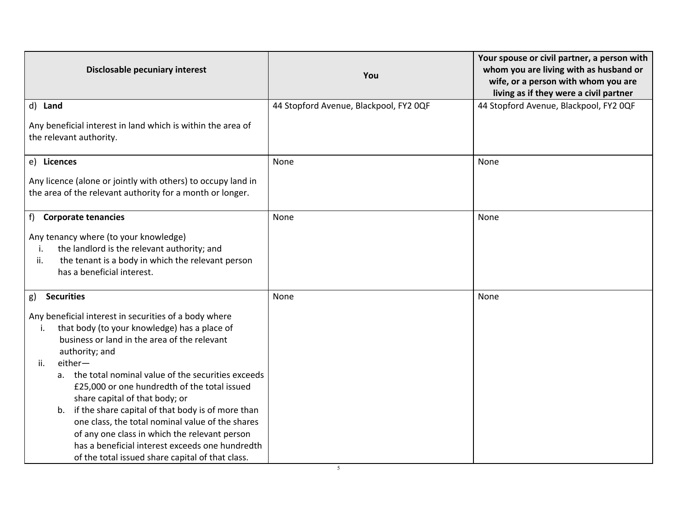| Disclosable pecuniary interest                                                                                                                                                                                                                                                                                                                                                                                                                                                                                                                                                                                   | You                                    | Your spouse or civil partner, a person with<br>whom you are living with as husband or<br>wife, or a person with whom you are<br>living as if they were a civil partner |
|------------------------------------------------------------------------------------------------------------------------------------------------------------------------------------------------------------------------------------------------------------------------------------------------------------------------------------------------------------------------------------------------------------------------------------------------------------------------------------------------------------------------------------------------------------------------------------------------------------------|----------------------------------------|------------------------------------------------------------------------------------------------------------------------------------------------------------------------|
| d) Land                                                                                                                                                                                                                                                                                                                                                                                                                                                                                                                                                                                                          | 44 Stopford Avenue, Blackpool, FY2 OQF | 44 Stopford Avenue, Blackpool, FY2 OQF                                                                                                                                 |
| Any beneficial interest in land which is within the area of<br>the relevant authority.                                                                                                                                                                                                                                                                                                                                                                                                                                                                                                                           |                                        |                                                                                                                                                                        |
| e) Licences                                                                                                                                                                                                                                                                                                                                                                                                                                                                                                                                                                                                      | None                                   | None                                                                                                                                                                   |
| Any licence (alone or jointly with others) to occupy land in<br>the area of the relevant authority for a month or longer.                                                                                                                                                                                                                                                                                                                                                                                                                                                                                        |                                        |                                                                                                                                                                        |
| f)<br><b>Corporate tenancies</b>                                                                                                                                                                                                                                                                                                                                                                                                                                                                                                                                                                                 | None                                   | None                                                                                                                                                                   |
| Any tenancy where (to your knowledge)<br>the landlord is the relevant authority; and<br>i.<br>ii.<br>the tenant is a body in which the relevant person<br>has a beneficial interest.                                                                                                                                                                                                                                                                                                                                                                                                                             |                                        |                                                                                                                                                                        |
| <b>Securities</b><br>g)                                                                                                                                                                                                                                                                                                                                                                                                                                                                                                                                                                                          | None                                   | None                                                                                                                                                                   |
| Any beneficial interest in securities of a body where<br>that body (to your knowledge) has a place of<br>i.<br>business or land in the area of the relevant<br>authority; and<br>either-<br>ii.<br>a. the total nominal value of the securities exceeds<br>£25,000 or one hundredth of the total issued<br>share capital of that body; or<br>if the share capital of that body is of more than<br>b.<br>one class, the total nominal value of the shares<br>of any one class in which the relevant person<br>has a beneficial interest exceeds one hundredth<br>of the total issued share capital of that class. |                                        |                                                                                                                                                                        |